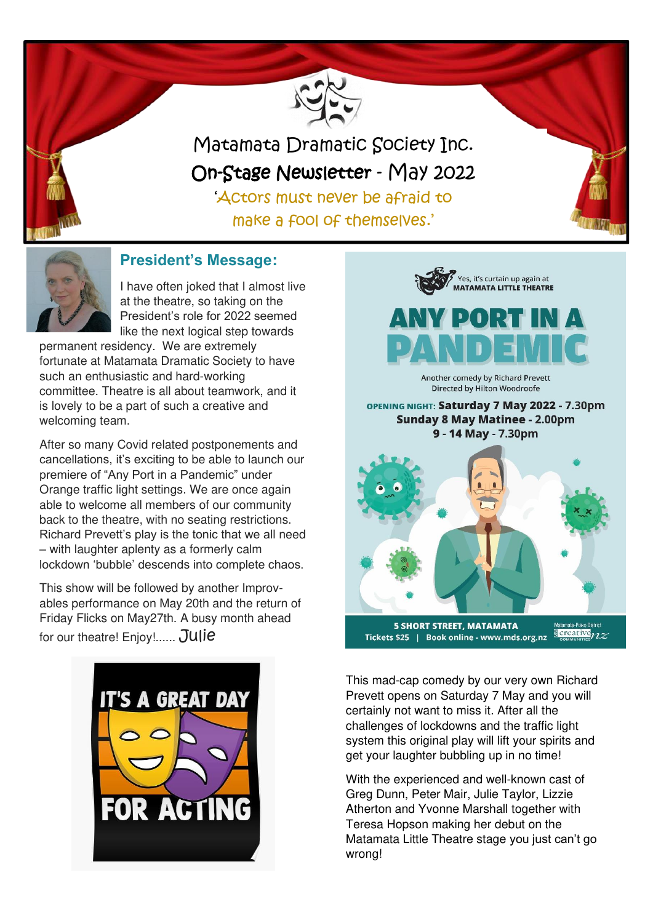

Matamata Dramatic Society Inc. On-Stage Newsletter - May 2022

'Actors must never be afraid to make a fool of themselves.'



# **President's Message:**

I have often joked that I almost live at the theatre, so taking on the President's role for 2022 seemed like the next logical step towards

permanent residency. We are extremely fortunate at Matamata Dramatic Society to have such an enthusiastic and hard-working committee. Theatre is all about teamwork, and it is lovely to be a part of such a creative and welcoming team.

After so many Covid related postponements and cancellations, it's exciting to be able to launch our premiere of "Any Port in a Pandemic" under Orange traffic light settings. We are once again able to welcome all members of our community back to the theatre, with no seating restrictions. Richard Prevett's play is the tonic that we all need – with laughter aplenty as a formerly calm lockdown 'bubble' descends into complete chaos.

This show will be followed by another Improvables performance on May 20th and the return of Friday Flicks on May27th. A busy month ahead for our theatre! Enjoy!...... Julie





Matamata-Piako District<br><mark>③ creative</mark> **5 SHORT STREET, MATAMATA** Tickets \$25 | Book online - www.mds.org.nz

This mad-cap comedy by our very own Richard Prevett opens on Saturday 7 May and you will certainly not want to miss it. After all the challenges of lockdowns and the traffic light system this original play will lift your spirits and get your laughter bubbling up in no time!

With the experienced and well-known cast of Greg Dunn, Peter Mair, Julie Taylor, Lizzie Atherton and Yvonne Marshall together with Teresa Hopson making her debut on the Matamata Little Theatre stage you just can't go wrong!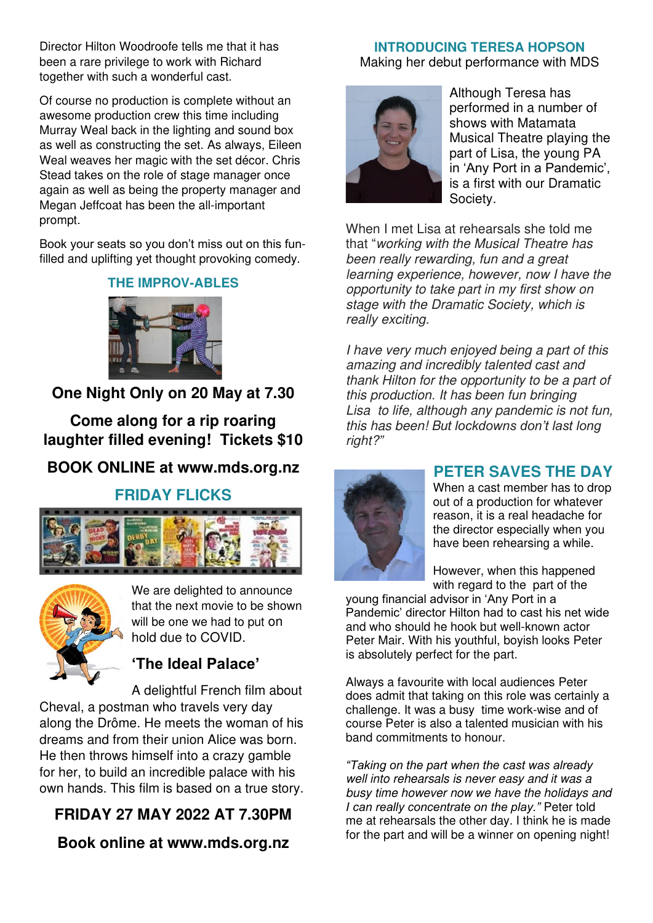Director Hilton Woodroofe tells me that it has been a rare privilege to work with Richard together with such a wonderful cast.

Of course no production is complete without an awesome production crew this time including Murray Weal back in the lighting and sound box as well as constructing the set. As always, Eileen Weal weaves her magic with the set décor. Chris Stead takes on the role of stage manager once again as well as being the property manager and Megan Jeffcoat has been the all-important prompt.

Book your seats so you don't miss out on this funfilled and uplifting yet thought provoking comedy.

#### **THE IMPROV-ABLES**



**One Night Only on 20 May at 7.30** 

**Come along for a rip roaring laughter filled evening! Tickets \$10** 

# **BOOK ONLINE at www.mds.org.nz**

#### **FRIDAY FLICKS**





We are delighted to announce that the next movie to be shown will be one we had to put on hold due to COVID.

# **'The Ideal Palace'**

A delightful French film about Cheval, a postman who travels very day along the Drôme. He meets the woman of his dreams and from their union Alice was born. He then throws himself into a crazy gamble for her, to build an incredible palace with his own hands. This film is based on a true story.

# **FRIDAY 27 MAY 2022 AT 7.30PM**

**Book online at [www.mds.org.nz](http://www.mds.org.nz/)** 

#### **INTRODUCING TERESA HOPSON**

Making her debut performance with MDS



Although Teresa has performed in a number of shows with Matamata Musical Theatre playing the part of Lisa, the young PA in 'Any Port in a Pandemic', is a first with our Dramatic Society.

When I met Lisa at rehearsals she told me that "working with the Musical Theatre has been really rewarding, fun and a great learning experience, however, now I have the opportunity to take part in my first show on stage with the Dramatic Society, which is really exciting.

I have very much enjoyed being a part of this amazing and incredibly talented cast and thank Hilton for the opportunity to be a part of this production. It has been fun bringing Lisa to life, although any pandemic is not fun, this has been! B*ut lockdowns don't last long*  right?*"*



# **PETER SAVES THE DAY**

When a cast member has to drop out of a production for whatever reason, it is a real headache for the director especially when you have been rehearsing a while.

However, when this happened with regard to the part of the

young financial advisor in 'Any Port in a Pandemic' director Hilton had to cast his net wide and who should he hook but well-known actor Peter Mair. With his youthful, boyish looks Peter is absolutely perfect for the part.

Always a favourite with local audiences Peter does admit that taking on this role was certainly a challenge. It was a busy time work-wise and of course Peter is also a talented musician with his band commitments to honour.

*"Taking on the part when the cast was already*  well into rehearsals is never easy and it was a busy time however now we have the holidays and *I can really concentrate on the play."* Peter told me at rehearsals the other day. I think he is made for the part and will be a winner on opening night!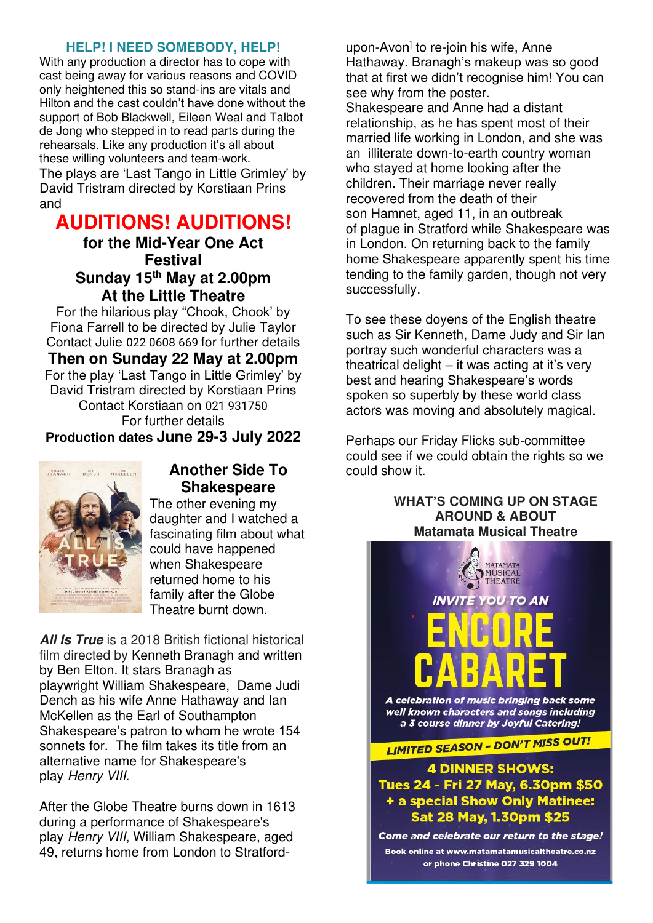#### **HELP! I NEED SOMEBODY, HELP!**

With any production a director has to cope with cast being away for various reasons and COVID only heightened this so stand-ins are vitals and Hilton and the cast couldn't have done without the support of Bob Blackwell, Eileen Weal and Talbot de Jong who stepped in to read parts during the rehearsals. Like any production it's all about these willing volunteers and team-work. The plays are 'Last Tango in Little Grimley' by David Tristram directed by Korstiaan Prins and

# **AUDITIONS! AUDITIONS!**

**for the Mid-Year One Act Festival Sunday 15th May at 2.00pm At the Little Theatre** 

For the hilarious play "Chook, Chook' by Fiona Farrell to be directed by Julie Taylor Contact Julie [022 0608 669](tel:+64220608669) for further details **Then on Sunday 22 May at 2.00pm**  For the play 'Last Tango in Little Grimley' by David Tristram directed by Korstiaan Prins Contact Korstiaan on [021 931750](tel:+6421931750) For further details **Production dates June 29-3 July 2022**



# **Another Side To Shakespeare**

The other evening my daughter and I watched a fascinating film about what could have happened when Shakespeare returned home to his family after the Globe Theatre burnt down.

**All Is True** is a 2018 British fictional historical film directed by [Kenneth Branagh](https://en.wikipedia.org/wiki/Kenneth_Branagh) and written by [Ben Elton.](https://en.wikipedia.org/wiki/Ben_Elton) It stars Branagh as playwright [William Shakespeare,](https://en.wikipedia.org/wiki/William_Shakespeare) Dame Judi Dench as his wife Anne Hathaway and Ian McKellen as the Earl of Southampton Shakespeare's patron to whom he wrote 154 sonnets for. The film takes its title from an alternative name for Shakespeare's play [Henry VIII](https://en.wikipedia.org/wiki/Henry_VIII_(play)).

After the [Globe Theatre](https://en.wikipedia.org/wiki/Globe_Theatre) burns down in 1613 during a performance of Shakespeare's play [Henry VIII](https://en.wikipedia.org/wiki/Henry_VIII_(play)), [William Shakespeare,](https://en.wikipedia.org/wiki/William_Shakespeare) aged 49, returns home from London to [Stratford-](https://en.wikipedia.org/wiki/Stratford-upon-Avon) [upon-Avon](https://en.wikipedia.org/wiki/Stratford-upon-Avon)<sup>]</sup> to re-join his wife, Anne [Hathaway.](https://en.wikipedia.org/wiki/Anne_Hathaway_(wife_of_Shakespeare)) Branagh's makeup was so good that at first we didn't recognise him! You can see why from the poster. Shakespeare and Anne had a distant relationship, as he has spent most of their married life working in [London,](https://en.wikipedia.org/wiki/London) and she was an illiterate down-to-earth country woman who stayed at home looking after the children. Their marriage never really recovered from the death of their son [Hamnet,](https://en.wikipedia.org/wiki/Hamnet_Shakespeare) aged 11, in an outbreak of [plague](https://en.wikipedia.org/wiki/Bubonic_plague) in Stratford while Shakespeare was in London. On returning back to the family home Shakespeare apparently spent his time tending to the family garden, though not very successfully.

To see these doyens of the English theatre such as Sir Kenneth, Dame Judy and Sir Ian portray such wonderful characters was a theatrical delight  $-$  it was acting at it's very best and hearing Shakespeare's words spoken so superbly by these world class actors was moving and absolutely magical.

Perhaps our Friday Flicks sub-committee could see if we could obtain the rights so we could show it.

> **WHAT'S COMING UP ON STAGE AROUND & ABOUT Matamata Musical Theatre**